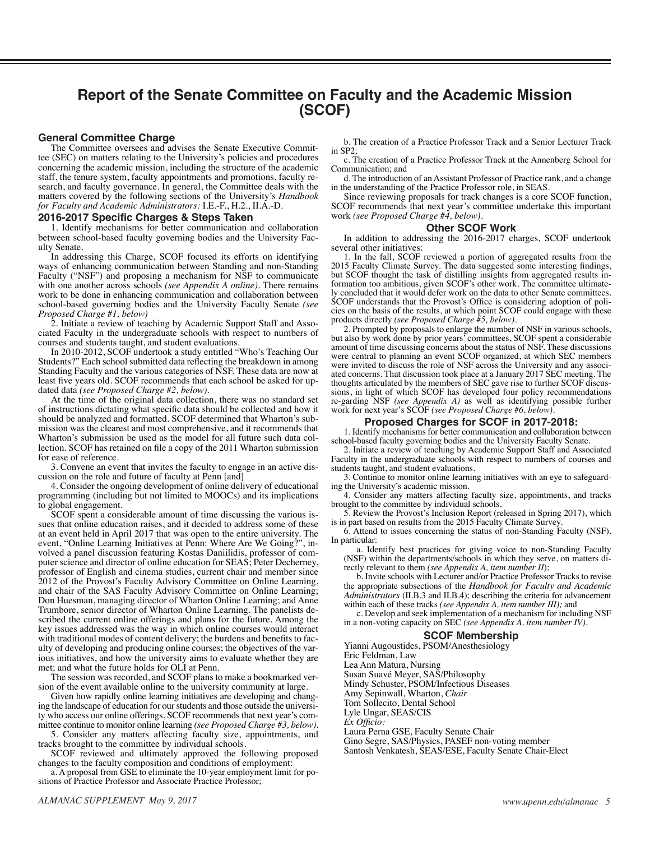# **Report of the Senate Committee on Faculty and the Academic Mission (SCOF)**

### **General Committee Charge**

The Committee oversees and advises the Senate Executive Committee (SEC) on matters relating to the University's policies and procedures concerning the academic mission, including the structure of the academic staff, the tenure system, faculty appointments and promotions, faculty research, and faculty governance. In general, the Committee deals with the matters covered by the following sections of the University's *Handbook for Faculty and Academic Administrators:* I.E.-F., H.2., II.A.-D.

#### **2016-2017 Specific Charges & Steps Taken**

1. Identify mechanisms for better communication and collaboration between school-based faculty governing bodies and the University Faculty Senate.

In addressing this Charge, SCOF focused its efforts on identifying ways of enhancing communication between Standing and non-Standing Faculty ("NSF") and proposing a mechanism for NSF to communicate with one another across schools *(see Appendix A online)*. There remains work to be done in enhancing communication and collaboration between school-based governing bodies and the University Faculty Senate *(see Proposed Charge #1, below)*

2. Initiate a review of teaching by Academic Support Staff and Associated Faculty in the undergraduate schools with respect to numbers of courses and students taught, and student evaluations.

In 2010-2012, SCOF undertook a study entitled "Who's Teaching Our Students?" Each school submitted data reflecting the breakdown in among Standing Faculty and the various categories of NSF. These data are now at least five years old. SCOF recommends that each school be asked for updated data *(see Proposed Charge #2, below).* 

At the time of the original data collection, there was no standard set of instructions dictating what specific data should be collected and how it should be analyzed and formatted. SCOF determined that Wharton's submission was the clearest and most comprehensive, and it recommends that Wharton's submission be used as the model for all future such data collection. SCOF has retained on file a copy of the 2011 Wharton submission for ease of reference.

3. Convene an event that invites the faculty to engage in an active discussion on the role and future of faculty at Penn [and]

4. Consider the ongoing development of online delivery of educational programming (including but not limited to MOOCs) and its implications to global engagement.

SCOF spent a considerable amount of time discussing the various issues that online education raises, and it decided to address some of these at an event held in April 2017 that was open to the entire university. The event, "Online Learning Initiatives at Penn: Where Are We Going?", involved a panel discussion featuring Kostas Daniilidis, professor of computer science and director of online education for SEAS; Peter Decherney, professor of English and cinema studies, current chair and member since 2012 of the Provost's Faculty Advisory Committee on Online Learning, and chair of the SAS Faculty Advisory Committee on Online Learning; Don Huesman, managing director of Wharton Online Learning; and Anne Trumbore, senior director of Wharton Online Learning. The panelists described the current online offerings and plans for the future. Among the key issues addressed was the way in which online courses would interact with traditional modes of content delivery; the burdens and benefits to faculty of developing and producing online courses; the objectives of the various initiatives, and how the university aims to evaluate whether they are met; and what the future holds for OLI at Penn.

The session was recorded, and SCOF plans to make a bookmarked version of the event available online to the university community at large.

Given how rapidly online learning initiatives are developing and changing the landscape of education for our students and those outside the university who access our online offerings, SCOF recommends that next year's com-

mittee continue to monitor online learning *(see Proposed Charge #3, below).* 5. Consider any matters affecting faculty size, appointments, and tracks brought to the committee by individual schools.

SCOF reviewed and ultimately approved the following proposed changes to the faculty composition and conditions of employment:

a. A proposal from GSE to eliminate the 10-year employment limit for positions of Practice Professor and Associate Practice Professor;

b. The creation of a Practice Professor Track and a Senior Lecturer Track in SP2;

c. The creation of a Practice Professor Track at the Annenberg School for Communication; and

d. The introduction of an Assistant Professor of Practice rank, and a change in the understanding of the Practice Professor role, in SEAS.

Since reviewing proposals for track changes is a core SCOF function, SCOF recommends that next year's committee undertake this important work *(see Proposed Charge #4, below)*.

## **Other SCOF Work**

In addition to addressing the 2016-2017 charges, SCOF undertook several other initiatives:

1. In the fall, SCOF reviewed a portion of aggregated results from the 2015 Faculty Climate Survey. The data suggested some interesting findings, but SCOF thought the task of distilling insights from aggregated results information too ambitious, given SCOF's other work. The committee ultimately concluded that it would defer work on the data to other Senate committees. SCOF understands that the Provost's Office is considering adoption of policies on the basis of the results, at which point SCOF could engage with these products directly *(see Proposed Charge #5, below).*

2. Prompted by proposals to enlarge the number of NSF in various schools, but also by work done by prior years' committees, SCOF spent a considerable amount of time discussing concerns about the status of NSF. These discussions were central to planning an event SCOF organized, at which SEC members were invited to discuss the role of NSF across the University and any associated concerns. That discussion took place at a January 2017 SEC meeting. The thoughts articulated by the members of SEC gave rise to further SCOF discussions, in light of which SCOF has developed four policy recommendations re-garding NSF *(see Appendix A)* as well as identifying possible further work for next year's SCOF *(see Proposed Charge #6, below).*

#### **Proposed Charges for SCOF in 2017-2018:**

1. Identify mechanisms for better communication and collaboration between school-based faculty governing bodies and the University Faculty Senate.

2. Initiate a review of teaching by Academic Support Staff and Associated Faculty in the undergraduate schools with respect to numbers of courses and students taught, and student evaluations.

3. Continue to monitor online learning initiatives with an eye to safeguarding the University's academic mission.

4. Consider any matters affecting faculty size, appointments, and tracks brought to the committee by individual schools.

5. Review the Provost's Inclusion Report (released in Spring 2017), which is in part based on results from the 2015 Faculty Climate Survey.

6. Attend to issues concerning the status of non-Standing Faculty (NSF). In particular:

a. Identify best practices for giving voice to non-Standing Faculty (NSF) within the departments/schools in which they serve, on matters directly relevant to them *(see Appendix A, item number II*);

b. Invite schools with Lecturer and/or Practice Professor Tracks to revise the appropriate subsections of the *Handbook for Faculty and Academic Administrators* (II.B.3 and II.B.4); describing the criteria for advancement within each of these tracks *(see Appendix A, item number III);* and

c. Develop and seek implementation of a mechanism for including NSF in a non-voting capacity on SEC *(see Appendix A, item number IV)*.

### **SCOF Membership**

Yianni Augoustides, PSOM/Anesthesiology

Eric Feldman, Law

Lea Ann Matura, Nursing

Susan Suavé Meyer, SAS/Philosophy Mindy Schuster, PSOM/Infectious Diseases

Amy Sepinwall, Wharton, *Chair*

Tom Sollecito, Dental School

Lyle Ungar, SEAS/CIS

*Ex Officio:* 

Laura Perna GSE, Faculty Senate Chair

Gino Segre, SAS/Physics, PASEF non-voting member

Santosh Venkatesh, SEAS/ESE, Faculty Senate Chair-Elect